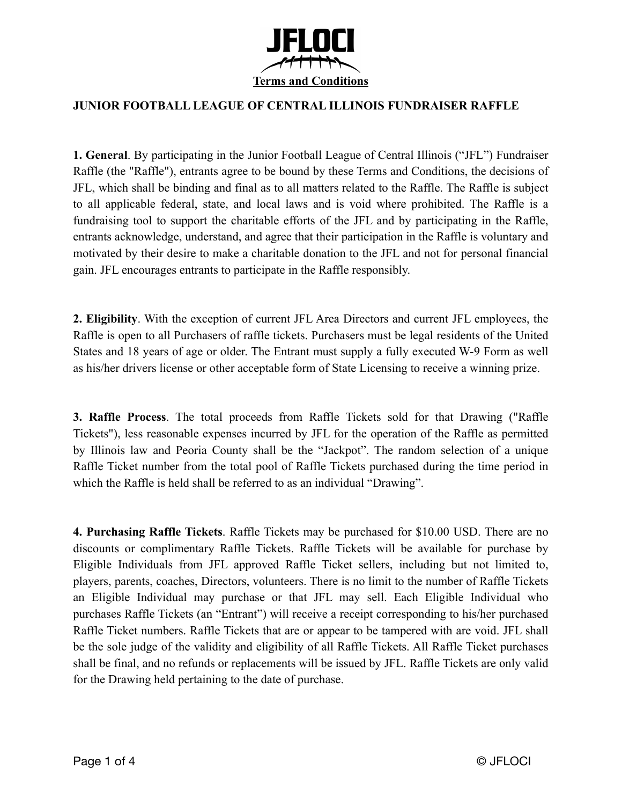

## **JUNIOR FOOTBALL LEAGUE OF CENTRAL ILLINOIS FUNDRAISER RAFFLE**

**1. General**. By participating in the Junior Football League of Central Illinois ("JFL") Fundraiser Raffle (the "Raffle"), entrants agree to be bound by these Terms and Conditions, the decisions of JFL, which shall be binding and final as to all matters related to the Raffle. The Raffle is subject to all applicable federal, state, and local laws and is void where prohibited. The Raffle is a fundraising tool to support the charitable efforts of the JFL and by participating in the Raffle, entrants acknowledge, understand, and agree that their participation in the Raffle is voluntary and motivated by their desire to make a charitable donation to the JFL and not for personal financial gain. JFL encourages entrants to participate in the Raffle responsibly.

**2. Eligibility**. With the exception of current JFL Area Directors and current JFL employees, the Raffle is open to all Purchasers of raffle tickets. Purchasers must be legal residents of the United States and 18 years of age or older. The Entrant must supply a fully executed W-9 Form as well as his/her drivers license or other acceptable form of State Licensing to receive a winning prize.

**3. Raffle Process**. The total proceeds from Raffle Tickets sold for that Drawing ("Raffle Tickets"), less reasonable expenses incurred by JFL for the operation of the Raffle as permitted by Illinois law and Peoria County shall be the "Jackpot". The random selection of a unique Raffle Ticket number from the total pool of Raffle Tickets purchased during the time period in which the Raffle is held shall be referred to as an individual "Drawing".

**4. Purchasing Raffle Tickets**. Raffle Tickets may be purchased for \$10.00 USD. There are no discounts or complimentary Raffle Tickets. Raffle Tickets will be available for purchase by Eligible Individuals from JFL approved Raffle Ticket sellers, including but not limited to, players, parents, coaches, Directors, volunteers. There is no limit to the number of Raffle Tickets an Eligible Individual may purchase or that JFL may sell. Each Eligible Individual who purchases Raffle Tickets (an "Entrant") will receive a receipt corresponding to his/her purchased Raffle Ticket numbers. Raffle Tickets that are or appear to be tampered with are void. JFL shall be the sole judge of the validity and eligibility of all Raffle Tickets. All Raffle Ticket purchases shall be final, and no refunds or replacements will be issued by JFL. Raffle Tickets are only valid for the Drawing held pertaining to the date of purchase.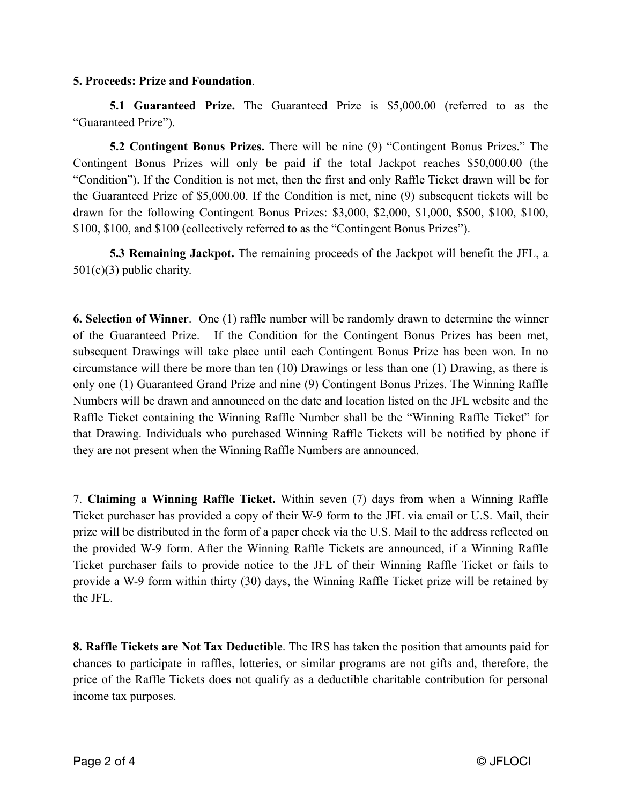## **5. Proceeds: Prize and Foundation**.

**5.1 Guaranteed Prize.** The Guaranteed Prize is \$5,000.00 (referred to as the "Guaranteed Prize").

**5.2 Contingent Bonus Prizes.** There will be nine (9) "Contingent Bonus Prizes." The Contingent Bonus Prizes will only be paid if the total Jackpot reaches \$50,000.00 (the "Condition"). If the Condition is not met, then the first and only Raffle Ticket drawn will be for the Guaranteed Prize of \$5,000.00. If the Condition is met, nine (9) subsequent tickets will be drawn for the following Contingent Bonus Prizes: \$3,000, \$2,000, \$1,000, \$500, \$100, \$100, \$100, \$100, and \$100 (collectively referred to as the "Contingent Bonus Prizes").

**5.3 Remaining Jackpot.** The remaining proceeds of the Jackpot will benefit the JFL, a 501(c)(3) public charity.

**6. Selection of Winner**. One (1) raffle number will be randomly drawn to determine the winner of the Guaranteed Prize. If the Condition for the Contingent Bonus Prizes has been met, subsequent Drawings will take place until each Contingent Bonus Prize has been won. In no circumstance will there be more than ten (10) Drawings or less than one (1) Drawing, as there is only one (1) Guaranteed Grand Prize and nine (9) Contingent Bonus Prizes. The Winning Raffle Numbers will be drawn and announced on the date and location listed on the JFL website and the Raffle Ticket containing the Winning Raffle Number shall be the "Winning Raffle Ticket" for that Drawing. Individuals who purchased Winning Raffle Tickets will be notified by phone if they are not present when the Winning Raffle Numbers are announced.

7. **Claiming a Winning Raffle Ticket.** Within seven (7) days from when a Winning Raffle Ticket purchaser has provided a copy of their W-9 form to the JFL via email or U.S. Mail, their prize will be distributed in the form of a paper check via the U.S. Mail to the address reflected on the provided W-9 form. After the Winning Raffle Tickets are announced, if a Winning Raffle Ticket purchaser fails to provide notice to the JFL of their Winning Raffle Ticket or fails to provide a W-9 form within thirty (30) days, the Winning Raffle Ticket prize will be retained by the JFL.

**8. Raffle Tickets are Not Tax Deductible**. The IRS has taken the position that amounts paid for chances to participate in raffles, lotteries, or similar programs are not gifts and, therefore, the price of the Raffle Tickets does not qualify as a deductible charitable contribution for personal income tax purposes.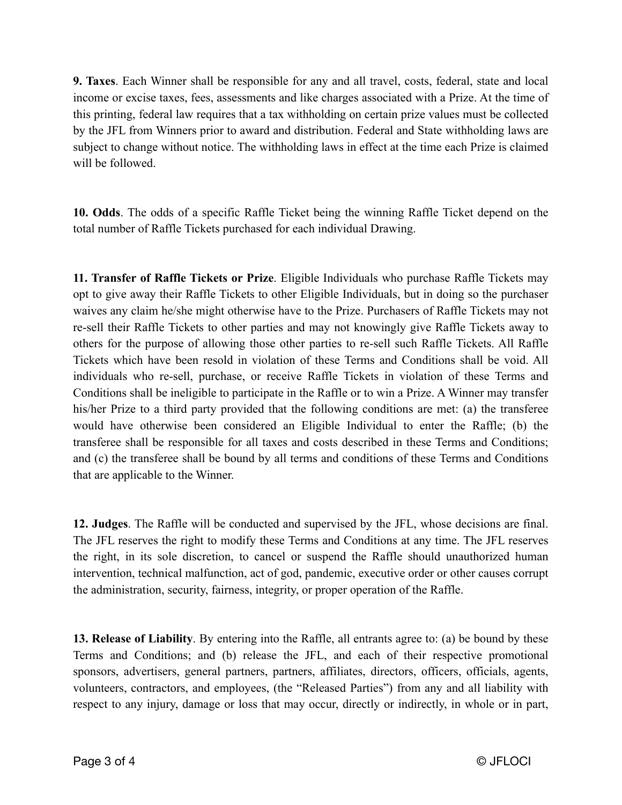**9. Taxes**. Each Winner shall be responsible for any and all travel, costs, federal, state and local income or excise taxes, fees, assessments and like charges associated with a Prize. At the time of this printing, federal law requires that a tax withholding on certain prize values must be collected by the JFL from Winners prior to award and distribution. Federal and State withholding laws are subject to change without notice. The withholding laws in effect at the time each Prize is claimed will be followed.

**10. Odds**. The odds of a specific Raffle Ticket being the winning Raffle Ticket depend on the total number of Raffle Tickets purchased for each individual Drawing.

**11. Transfer of Raffle Tickets or Prize**. Eligible Individuals who purchase Raffle Tickets may opt to give away their Raffle Tickets to other Eligible Individuals, but in doing so the purchaser waives any claim he/she might otherwise have to the Prize. Purchasers of Raffle Tickets may not re-sell their Raffle Tickets to other parties and may not knowingly give Raffle Tickets away to others for the purpose of allowing those other parties to re-sell such Raffle Tickets. All Raffle Tickets which have been resold in violation of these Terms and Conditions shall be void. All individuals who re-sell, purchase, or receive Raffle Tickets in violation of these Terms and Conditions shall be ineligible to participate in the Raffle or to win a Prize. A Winner may transfer his/her Prize to a third party provided that the following conditions are met: (a) the transferee would have otherwise been considered an Eligible Individual to enter the Raffle; (b) the transferee shall be responsible for all taxes and costs described in these Terms and Conditions; and (c) the transferee shall be bound by all terms and conditions of these Terms and Conditions that are applicable to the Winner.

**12. Judges**. The Raffle will be conducted and supervised by the JFL, whose decisions are final. The JFL reserves the right to modify these Terms and Conditions at any time. The JFL reserves the right, in its sole discretion, to cancel or suspend the Raffle should unauthorized human intervention, technical malfunction, act of god, pandemic, executive order or other causes corrupt the administration, security, fairness, integrity, or proper operation of the Raffle.

**13. Release of Liability**. By entering into the Raffle, all entrants agree to: (a) be bound by these Terms and Conditions; and (b) release the JFL, and each of their respective promotional sponsors, advertisers, general partners, partners, affiliates, directors, officers, officials, agents, volunteers, contractors, and employees, (the "Released Parties") from any and all liability with respect to any injury, damage or loss that may occur, directly or indirectly, in whole or in part,